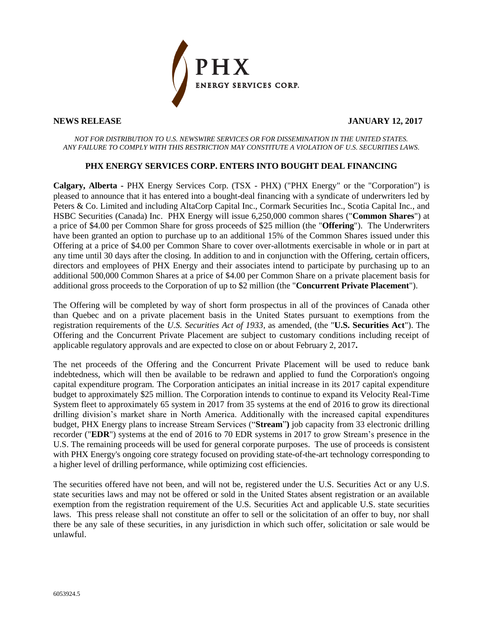

**NEWS RELEASE JANUARY 12, 2017**

#### *NOT FOR DISTRIBUTION TO U.S. NEWSWIRE SERVICES OR FOR DISSEMINATION IN THE UNITED STATES. ANY FAILURE TO COMPLY WITH THIS RESTRICTION MAY CONSTITUTE A VIOLATION OF U.S. SECURITIES LAWS.*

# **PHX ENERGY SERVICES CORP. ENTERS INTO BOUGHT DEAL FINANCING**

**Calgary, Alberta -** PHX Energy Services Corp. (TSX - PHX) ("PHX Energy" or the "Corporation") is pleased to announce that it has entered into a bought-deal financing with a syndicate of underwriters led by Peters & Co. Limited and including AltaCorp Capital Inc., Cormark Securities Inc., Scotia Capital Inc., and HSBC Securities (Canada) Inc. PHX Energy will issue 6,250,000 common shares ("**Common Shares**") at a price of \$4.00 per Common Share for gross proceeds of \$25 million (the "**Offering**"). The Underwriters have been granted an option to purchase up to an additional 15% of the Common Shares issued under this Offering at a price of \$4.00 per Common Share to cover over-allotments exercisable in whole or in part at any time until 30 days after the closing. In addition to and in conjunction with the Offering, certain officers, directors and employees of PHX Energy and their associates intend to participate by purchasing up to an additional 500,000 Common Shares at a price of \$4.00 per Common Share on a private placement basis for additional gross proceeds to the Corporation of up to \$2 million (the "**Concurrent Private Placement**").

The Offering will be completed by way of short form prospectus in all of the provinces of Canada other than Quebec and on a private placement basis in the United States pursuant to exemptions from the registration requirements of the *U.S. Securities Act of 1933*, as amended, (the "**U.S. Securities Act**"). The Offering and the Concurrent Private Placement are subject to customary conditions including receipt of applicable regulatory approvals and are expected to close on or about February 2, 2017**.**

The net proceeds of the Offering and the Concurrent Private Placement will be used to reduce bank indebtedness, which will then be available to be redrawn and applied to fund the Corporation's ongoing capital expenditure program. The Corporation anticipates an initial increase in its 2017 capital expenditure budget to approximately \$25 million. The Corporation intends to continue to expand its Velocity Real-Time System fleet to approximately 65 system in 2017 from 35 systems at the end of 2016 to grow its directional drilling division's market share in North America. Additionally with the increased capital expenditures budget, PHX Energy plans to increase Stream Services ("**Stream**"**)** job capacity from 33 electronic drilling recorder ("**EDR**") systems at the end of 2016 to 70 EDR systems in 2017 to grow Stream's presence in the U.S. The remaining proceeds will be used for general corporate purposes. The use of proceeds is consistent with PHX Energy's ongoing core strategy focused on providing state-of-the-art technology corresponding to a higher level of drilling performance, while optimizing cost efficiencies.

The securities offered have not been, and will not be, registered under the U.S. Securities Act or any U.S. state securities laws and may not be offered or sold in the United States absent registration or an available exemption from the registration requirement of the U.S. Securities Act and applicable U.S. state securities laws. This press release shall not constitute an offer to sell or the solicitation of an offer to buy, nor shall there be any sale of these securities, in any jurisdiction in which such offer, solicitation or sale would be unlawful.